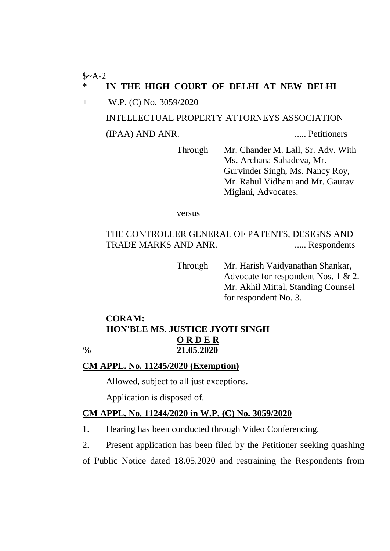### $$~A-2$$ IN THE HIGH COURT OF DELHI AT NEW DELHI

+ W.P. (C) No. 3059/2020 INTELLECTUAL PROPERTY ATTORNEYS ASSOCIATION (IPAA) AND ANR. ..... Petitioners

> Through Mr. Chander M. Lall, Sr. Adv. With Ms. Archana Sahadeva, Mr. Gurvinder Singh, Ms. Nancy Roy, Mr. Rahul Vidhani and Mr. Gaurav Miglani, Advocates.

versus

THE CONTROLLER GENERAL OF PATENTS, DESIGNS AND TRADE MARKS AND ANR. ...... Respondents

> Through Mr. Harish Vaidyanathan Shankar, Advocate for respondent Nos. 1 & 2. Mr. Akhil Mittal, Standing Counsel for respondent No. 3.

# **CORAM: HON'BLE MS. JUSTICE JYOTI SINGH O R D E R % 21.05.2020**

## **CM APPL. No. 11245/2020 (Exemption)**

Allowed, subject to all just exceptions.

Application is disposed of.

## **CM APPL. No. 11244/2020 in W.P. (C) No. 3059/2020**

1. Hearing has been conducted through Video Conferencing.

2. Present application has been filed by the Petitioner seeking quashing

of Public Notice dated 18.05.2020 and restraining the Respondents from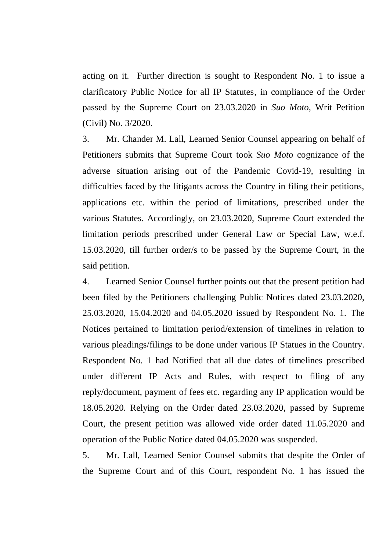acting on it. Further direction is sought to Respondent No. 1 to issue a clarificatory Public Notice for all IP Statutes, in compliance of the Order passed by the Supreme Court on 23.03.2020 in *Suo Moto*, Writ Petition (Civil) No. 3/2020.

3. Mr. Chander M. Lall, Learned Senior Counsel appearing on behalf of Petitioners submits that Supreme Court took *Suo Moto* cognizance of the adverse situation arising out of the Pandemic Covid-19, resulting in difficulties faced by the litigants across the Country in filing their petitions, applications etc. within the period of limitations, prescribed under the various Statutes. Accordingly, on 23.03.2020, Supreme Court extended the limitation periods prescribed under General Law or Special Law, w.e.f. 15.03.2020, till further order/s to be passed by the Supreme Court, in the said petition.

4. Learned Senior Counsel further points out that the present petition had been filed by the Petitioners challenging Public Notices dated 23.03.2020, 25.03.2020, 15.04.2020 and 04.05.2020 issued by Respondent No. 1. The Notices pertained to limitation period/extension of timelines in relation to various pleadings/filings to be done under various IP Statues in the Country. Respondent No. 1 had Notified that all due dates of timelines prescribed under different IP Acts and Rules, with respect to filing of any reply/document, payment of fees etc. regarding any IP application would be 18.05.2020. Relying on the Order dated 23.03.2020, passed by Supreme Court, the present petition was allowed vide order dated 11.05.2020 and operation of the Public Notice dated 04.05.2020 was suspended.

5. Mr. Lall, Learned Senior Counsel submits that despite the Order of the Supreme Court and of this Court, respondent No. 1 has issued the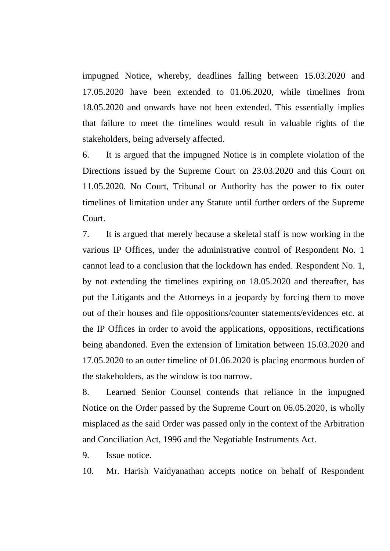impugned Notice, whereby, deadlines falling between 15.03.2020 and 17.05.2020 have been extended to 01.06.2020, while timelines from 18.05.2020 and onwards have not been extended. This essentially implies that failure to meet the timelines would result in valuable rights of the stakeholders, being adversely affected.

6. It is argued that the impugned Notice is in complete violation of the Directions issued by the Supreme Court on 23.03.2020 and this Court on 11.05.2020. No Court, Tribunal or Authority has the power to fix outer timelines of limitation under any Statute until further orders of the Supreme Court.

7. It is argued that merely because a skeletal staff is now working in the various IP Offices, under the administrative control of Respondent No. 1 cannot lead to a conclusion that the lockdown has ended. Respondent No. 1, by not extending the timelines expiring on 18.05.2020 and thereafter, has put the Litigants and the Attorneys in a jeopardy by forcing them to move out of their houses and file oppositions/counter statements/evidences etc. at the IP Offices in order to avoid the applications, oppositions, rectifications being abandoned. Even the extension of limitation between 15.03.2020 and 17.05.2020 to an outer timeline of 01.06.2020 is placing enormous burden of the stakeholders, as the window is too narrow.

8. Learned Senior Counsel contends that reliance in the impugned Notice on the Order passed by the Supreme Court on 06.05.2020, is wholly misplaced as the said Order was passed only in the context of the Arbitration and Conciliation Act, 1996 and the Negotiable Instruments Act.

9. Issue notice.

10. Mr. Harish Vaidyanathan accepts notice on behalf of Respondent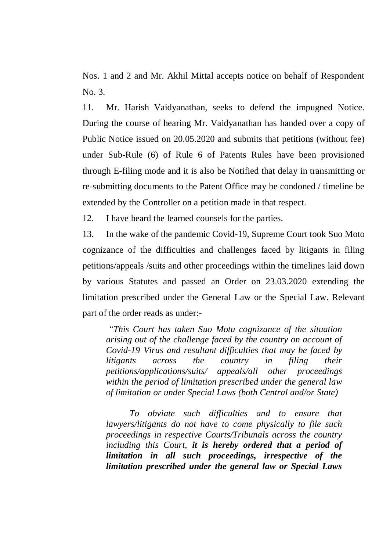Nos. 1 and 2 and Mr. Akhil Mittal accepts notice on behalf of Respondent No. 3.

11. Mr. Harish Vaidyanathan, seeks to defend the impugned Notice. During the course of hearing Mr. Vaidyanathan has handed over a copy of Public Notice issued on 20.05.2020 and submits that petitions (without fee) under Sub-Rule (6) of Rule 6 of Patents Rules have been provisioned through E-filing mode and it is also be Notified that delay in transmitting or re-submitting documents to the Patent Office may be condoned / timeline be extended by the Controller on a petition made in that respect.

12. I have heard the learned counsels for the parties.

13. In the wake of the pandemic Covid-19, Supreme Court took Suo Moto cognizance of the difficulties and challenges faced by litigants in filing petitions/appeals /suits and other proceedings within the timelines laid down by various Statutes and passed an Order on 23.03.2020 extending the limitation prescribed under the General Law or the Special Law. Relevant part of the order reads as under:-

*"This Court has taken Suo Motu cognizance of the situation arising out of the challenge faced by the country on account of Covid-19 Virus and resultant difficulties that may be faced by litigants across the country in filing their petitions/applications/suits/ appeals/all other proceedings within the period of limitation prescribed under the general law of limitation or under Special Laws (both Central and/or State)*

*To obviate such difficulties and to ensure that lawyers/litigants do not have to come physically to file such proceedings in respective Courts/Tribunals across the country including this Court, it is hereby ordered that a period of limitation in all such proceedings, irrespective of the limitation prescribed under the general law or Special Laws*